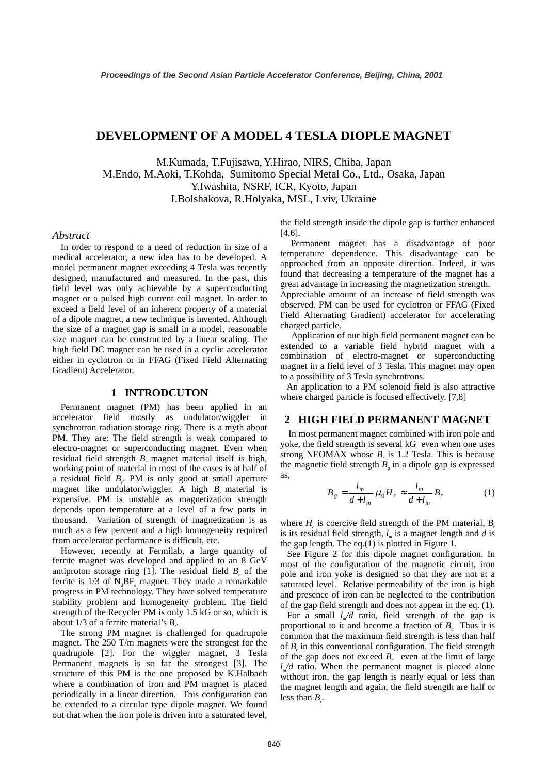# **DEVELOPMENT OF A MODEL 4 TESLA DIOPLE MAGNET**

M.Kumada, T.Fujisawa, Y.Hirao, NIRS, Chiba, Japan M.Endo, M.Aoki, T.Kohda, Sumitomo Special Metal Co., Ltd., Osaka, Japan Y.Iwashita, NSRF, ICR, Kyoto, Japan I.Bolshakova, R.Holyaka, MSL, Lviv, Ukraine

#### *Abstract*

In order to respond to a need of reduction in size of a medical accelerator, a new idea has to be developed. A model permanent magnet exceeding 4 Tesla was recently designed, manufactured and measured. In the past, this field level was only achievable by a superconducting magnet or a pulsed high current coil magnet. In order to exceed a field level of an inherent property of a material of a dipole magnet, a new technique is invented. Although the size of a magnet gap is small in a model, reasonable size magnet can be constructed by a linear scaling. The high field DC magnet can be used in a cyclic accelerator either in cyclotron or in FFAG (Fixed Field Alternating Gradient) Accelerator.

### **1 INTRODCUTON**

Permanent magnet (PM) has been applied in an accelerator field mostly as undulator/wiggler in synchrotron radiation storage ring. There is a myth about PM. They are: The field strength is weak compared to electro-magnet or superconducting magnet. Even when residual field strength  $B_r$  magnet material itself is high, working point of material in most of the cases is at half of a residual field  $B_r$ . PM is only good at small aperture magnet like undulator/wiggler. A high  $B_r$  material is expensive. PM is unstable as magnetization strength depends upon temperature at a level of a few parts in thousand. Variation of strength of magnetization is as much as a few percent and a high homogeneity required from accelerator performance is difficult, etc.

However, recently at Fermilab, a large quantity of ferrite magnet was developed and applied to an 8 GeV antiproton storage ring  $[1]$ . The residual field  $B<sub>r</sub>$  of the ferrite is  $1/3$  of  $N_dBF_e$  magnet. They made a remarkable progress in PM technology. They have solved temperature stability problem and homogeneity problem. The field strength of the Recycler PM is only 1.5 kG or so, which is about 1/3 of a ferrite material's  $B_r$ .

The strong PM magnet is challenged for quadrupole magnet. The 250 T/m magnets were the strongest for the quadrupole [2]. For the wiggler magnet, 3 Tesla Permanent magnets is so far the strongest [3]. The structure of this PM is the one proposed by K.Halbach where a combination of iron and PM magnet is placed periodically in a linear direction. This configuration can be extended to a circular type dipole magnet. We found out that when the iron pole is driven into a saturated level, the field strength inside the dipole gap is further enhanced [4,6].

 Permanent magnet has a disadvantage of poor temperature dependence. This disadvantage can be approached from an opposite direction. Indeed, it was found that decreasing a temperature of the magnet has a great advantage in increasing the magnetization strength.

Appreciable amount of an increase of field strength was observed. PM can be used for cyclotron or FFAG (Fixed Field Alternating Gradient) accelerator for accelerating charged particle.

 Application of our high field permanent magnet can be extended to a variable field hybrid magnet with a combination of electro-magnet or superconducting magnet in a field level of 3 Tesla. This magnet may open to a possibility of 3 Tesla synchrotrons.

 An application to a PM solenoid field is also attractive where charged particle is focused effectively. [7,8]

#### **2 HIGH FIELD PERMANENT MAGNET**

In most permanent magnet combined with iron pole and yoke, the field strength is several kG even when one uses strong NEOMAX whose  $B_r$  is 1.2 Tesla. This is because the magnetic field strength  $B<sub>g</sub>$  in a dipole gap is expressed as,

$$
B_g = \frac{l_m}{d + l_m} \mu_0 H_c \approx \frac{l_m}{d + l_m} B_r \tag{1}
$$

where  $H_c$  is coercive field strength of the PM material,  $B_r$ is its residual field strength,  $l_m$  is a magnet length and *d* is the gap length. The eq.(1) is plotted in Figure 1.

 See Figure 2 for this dipole magnet configuration. In most of the configuration of the magnetic circuit, iron pole and iron yoke is designed so that they are not at a saturated level. Relative permeability of the iron is high and presence of iron can be neglected to the contribution of the gap field strength and does not appear in the eq. (1).

For a small  $l/d$  ratio, field strength of the gap is proportional to it and become a fraction of  $B_r$ . Thus it is common that the maximum field strength is less than half of  $B_r$  in this conventional configuration. The field strength of the gap does not exceed  $B_r$  even at the limit of large  $l_{m}/d$  ratio. When the permanent magnet is placed alone without iron, the gap length is nearly equal or less than the magnet length and again, the field strength are half or less than  $B_{r}$ .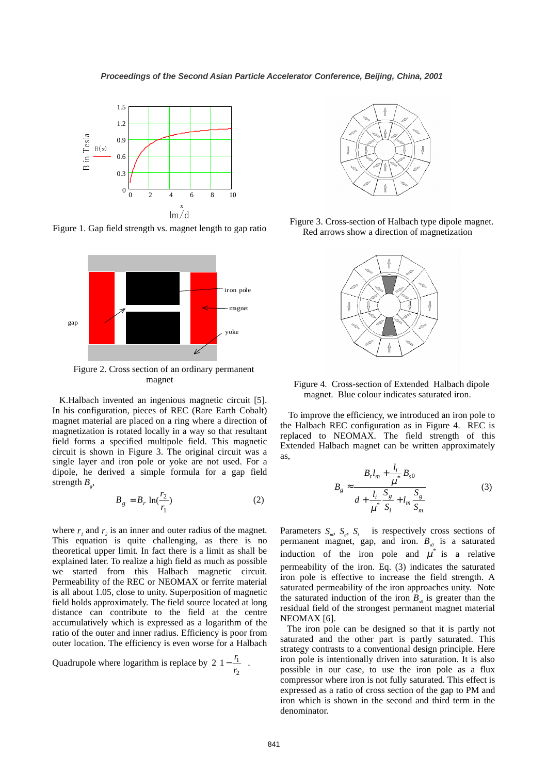

Figure 1. Gap field strength vs. magnet length to gap ratio



Figure 2. Cross section of an ordinary permanent magnet

 K.Halbach invented an ingenious magnetic circuit [5]. In his configuration, pieces of REC (Rare Earth Cobalt) magnet material are placed on a ring where a direction of magnetization is rotated locally in a way so that resultant field forms a specified multipole field. This magnetic circuit is shown in Figure 3. The original circuit was a single layer and iron pole or yoke are not used. For a dipole, he derived a simple formula for a gap field strength  $B_{g}$ ,

$$
B_g = B_r \ln(\frac{r_2}{r_1})
$$
 (2)

where  $r_1$  and  $r_2$  is an inner and outer radius of the magnet. This equation is quite challenging, as there is no theoretical upper limit. In fact there is a limit as shall be explained later. To realize a high field as much as possible we started from this Halbach magnetic circuit. Permeability of the REC or NEOMAX or ferrite material is all about 1.05, close to unity. Superposition of magnetic field holds approximately. The field source located at long distance can contribute to the field at the centre accumulatively which is expressed as a logarithm of the ratio of the outer and inner radius. Efficiency is poor from outer location. The efficiency is even worse for a Halbach

Quadrupole where logarithm is replace by  $2\left(1-\frac{r_1}{r_2}\right)$  $\overline{\phantom{a}}$  $\mathcal{L}$  $\overline{\phantom{a}}$ l  $\Big|1 2\left(1-\frac{r_1}{r_2}\right)$ .



Figure 3. Cross-section of Halbach type dipole magnet. Red arrows show a direction of magnetization



Figure 4. Cross-section of Extended Halbach dipole magnet. Blue colour indicates saturated iron.

To improve the efficiency, we introduced an iron pole to the Halbach REC configuration as in Figure 4. REC is replaced to NEOMAX. The field strength of this Extended Halbach magnet can be written approximately as,

$$
B_{g} \approx \frac{B_{r}l_{m} + \frac{l_{i}}{\mu^{*}}B_{s0}}{d + \frac{l_{i}}{\mu^{*}}\frac{S_{g}}{S_{i}} + l_{m}\frac{S_{g}}{S_{m}}}
$$
(3)

Parameters  $S_{m}$ ,  $S_{g}$ ,  $S_{i}$  is respectively cross sections of permanent magnet, gap, and iron.  $B_{s0}$  is a saturated induction of the iron pole and  $\mu^*$  is a relative permeability of the iron. Eq. (3) indicates the saturated iron pole is effective to increase the field strength. A saturated permeability of the iron approaches unity. Note the saturated induction of the iron  $B_{s0}$  is greater than the residual field of the strongest permanent magnet material NEOMAX [6].

 The iron pole can be designed so that it is partly not saturated and the other part is partly saturated. This strategy contrasts to a conventional design principle. Here iron pole is intentionally driven into saturation. It is also possible in our case, to use the iron pole as a flux compressor where iron is not fully saturated. This effect is expressed as a ratio of cross section of the gap to PM and iron which is shown in the second and third term in the denominator.